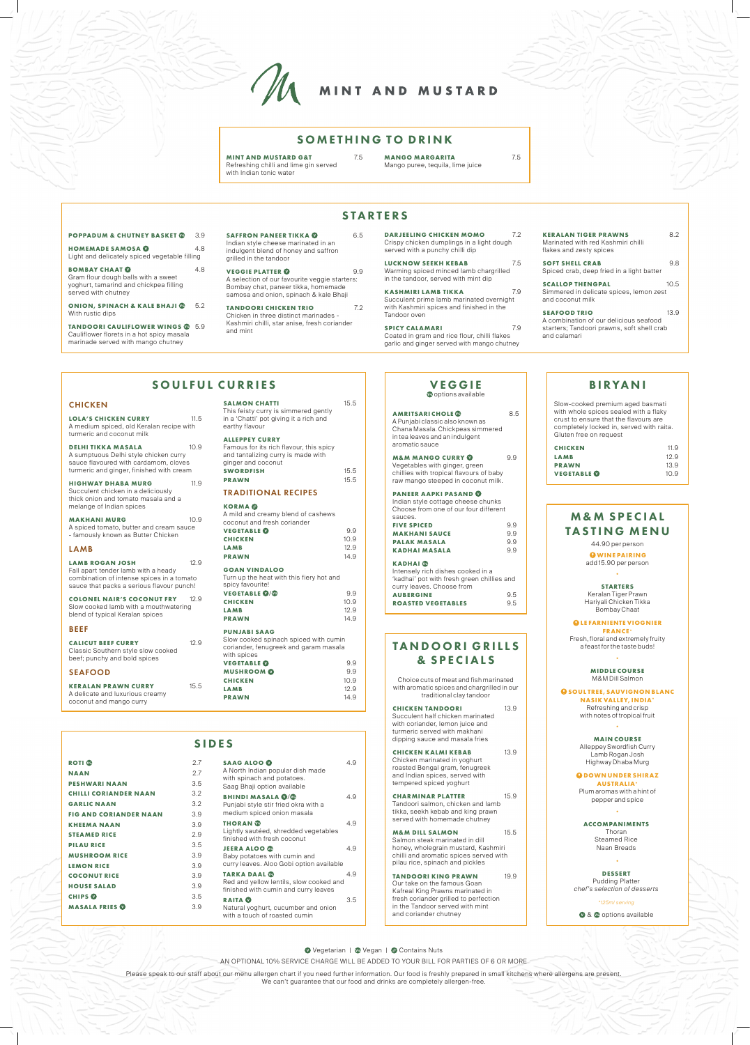**AMRITSARI CHOLE** 8.5 A Punjabi classic also known as Chana Masala. Chickpeas simmered in tea leaves and an indulgent aromatic sauce

**M&M MANGO CURRY** 9.9 Vegetables with ginger, green chillies with tropical flavours of baby raw mango steeped in coconut milk.

#### **PANEER AAPKI PASAND**  Indian style cottage cheese chunks

| 99                                    |
|---------------------------------------|
| 99                                    |
| 99                                    |
| 99                                    |
| Choose from one of our four different |

| <b>KADHAI</b> <sup>®</sup>                 |     |
|--------------------------------------------|-----|
| Intensely rich dishes cooked in a          |     |
| 'kadhai' pot with fresh green chillies and |     |
| curry leaves. Choose from                  |     |
| <b>AUBERGINE</b>                           | 95  |
| <b>ROASTED VEGETABLES</b>                  | 9.5 |

AN OPTIONAL 10% SERVICE CHARGE WILL BE ADDED TO YOUR BILL FOR PARTIES OF 6 OR MORE

Please speak to our staff about our menu allergen chart if you need further information. Our food is freshly prepared in small kitchens where allergens are present. We can't guarantee that our food and drinks are completely allergen-free.

# SIDES

| <b>ROTI CO</b>                | 27  |
|-------------------------------|-----|
| <b>NAAN</b>                   | 27  |
| <b>PESHWARI NAAN</b>          | 35  |
| <b>CHILLI CORIANDER NAAN</b>  | 3.2 |
| <b>GARLIC NAAN</b>            | 3.2 |
| <b>FIG AND CORIANDER NAAN</b> | 3.9 |
| <b>KHEEMA NAAN</b>            | 3.9 |
| <b>STEAMED RICE</b>           | 2.9 |
| <b>PILAU RICE</b>             | 3.5 |
| <b>MUSHROOM RICE</b>          | 3.9 |
| <b>LEMON RICE</b>             | 3.9 |
| <b>COCONUT RICE</b>           | 3.9 |
| <b>HOUSE SALAD</b>            | 3.9 |
| <b>CHIPS OF</b>               | 3.5 |
| <b>MASALA FRIES W</b>         | 39  |
|                               |     |

**CHICKEN KALMI KEBAB** 13.9 Chicken marinated in yoghurt

**SOFT SHELL CRAB** 9.8 Spiced crab, deep fried in a light batter **SCALLOP THENGPAL 10.5** Simmered in delicate spices, lemon zest and coconut milk **SEAFOOD TRIO** 13.9

**CHARMINAR PLATTER** 15.9 Tandoori salmon, chicken and lamb tikka, seekh kebab and king prawn served with homemade chutney

**TANDOORI KING PRAWN 19.9** Our take on the famous Goan Kafreal King Prawns marinated in fresh coriander grilled to perfection in the Tandoor served with mint and coriander chutney

| SAAG ALOO <b>W</b><br>A North Indian popular dish made<br>with spinach and potatoes.<br>Saag Bhaji option available | 49  |  |
|---------------------------------------------------------------------------------------------------------------------|-----|--|
| <b>BHINDI MASALA ©/©</b><br>Punjabi style stir fried okra with a<br>medium spiced onion masala                      | 4.9 |  |
| <b>THORAN</b> @<br>Lightly sautéed, shredded vegetables<br>finished with fresh coconut                              | 4.9 |  |
| <b>JEERA ALOO</b><br>Baby potatoes with cumin and<br>curry leaves. Aloo Gobi option available                       | 4.9 |  |
| <b>TARKA DAAL C</b><br>Red and yellow lentils, slow cooked and<br>finished with cumin and curry leaves              | 4.9 |  |
| RAITA <b>O</b><br>Natural yoghurt, cucumber and onion<br>with a touch of roasted cumin                              | 3.5 |  |

**DELHI TIKKA MASALA** 10.9 A sumptuous Delhi style chicken curry sauce flavoured with cardamom, cloves turmeric and ginger, finished with cream **HIGHWAY DHABA MURG** 11.9 Succulent chicken in a deliciously thick onion and tomato masala and a

**MAKHANI MURG** 10.9 A spiced tomato, butter and cream sauce - famously known as Butter Chicken

# BIRYANI

LAMB ROGAN JOSH 12.9 Fall apart tender lamb with a heady combination of intense spices in a tomato sauce that packs a serious flavour punch! **COLONEL NAIR'S COCONUT FRY** 12.9 Slow cooked lamb with a mouthwatering blend of typical Keralan spices

Slow-cooked premium aged basmati with whole spices sealed with a flaky crust to ensure that the flavours are completely locked in, served with raita. Gluten free on request

**SALMON CHATTI** 15.5 This feisty curry is simmered gently in a 'Chatti' pot giving it a rich and

| 11.9 |
|------|
| 12.9 |
| 13.9 |
| 10.9 |
|      |

# TANDOORI GRILLS & SPECIALS

Choice cuts of meat and fish marinated with aromatic spices and chargrilled in our traditional clay tandoor

**VEGETABLE ©** 9.9 **CHICKEN** 10.9 **LAMB** 12.9 **PRAWN** 14.9

**VEGETABLE 0/0** 9.9 **CHICKEN** 10.9 **LAMB** 12.9 **PRAWN** 14.9

> **CHICKEN TANDOORI** 13.9 Succulent half chicken marinated with coriander, lemon juice and turmeric served with makhani dipping sauce and masala fries

**VEGETABLE O** 9.9 **MUSHROOM** 9.9 **CHICKEN** 10.9 **LAMB** 12.9 **PRAWN** 14.9

## **M&M SPECIAL** TASTING MENU

roasted Bengal gram, fenugreek and Indian spices, served with tempered spiced yoghurt

**O** SOUL TREE, SAUVIGNON BLANC **NASIK VALLEY, INDIA\***

Refreshing and crisp with notes of tropical fruit

**QDOWN UNDER SHIRAZ AUSTRALIA\*** Plum aromas with a hint of pepper and spice

**M&M DILL SALMON** 15.5 Salmon steak marinated in dill honey, wholegrain mustard, Kashmiri chilli and aromatic spices served with pilau rice, spinach and pickles

**BOMBAY CHAAT ©** 4.8 Gram flour dough balls with a sweet yoghurt, tamarind and chickpea filling served with chutney

**ONION, SPINACH & KALE BHAJI @** 5.2 With rustic dips

**TANDOORI CAULIFLOWER WINGS 6** 5.9 Cauliflower florets in a hot spicy masala marinade served with mango chutney

SOULFUL CURRIES

**SAFFRON PANEER TIKKA <b>O** 65 Indian style cheese marinated in an indulgent blend of honey and saffron grilled in the tandoor

**LOLA'S CHICKEN CURRY** 11.5 A medium spiced, old Keralan recipe with

turmeric and coconut milk

**DARJEELING CHICKEN MOMO** 7.2 Crispy chicken dumplings in a light dough served with a punchy chilli dip

melange of Indian spices

**SPICY CALAMARI** 7.9 Coated in gram and rice flour, chilli flakes garlic and ginger served with mango chutney

**VEGGIE Coptions** available

LAMB

BEEF

**CALICUT BEEF CURRY** 12.9 Classic Southern style slow cooked beef; punchy and bold spices

SEAFOOD

**KERALAN PRAWN CURRY** 15.5

A delicate and luxurious creamy coconut and mango curry

**CHICKEN** 

earthy flavour **ALLEPPEY CURRY**

Famous for its rich flavour, this spicy and tantalizing curry is made with

ginger and coconut

**SWORDFISH** 15.5 **PRAWN** 15.5

TRADITIONAL RECIPES

**KORMA** 

A mild and creamy blend of cashews coconut and fresh coriander

**GOAN VINDALOO**

Turn up the heat with this fiery hot and

spicy favourite!

**PUNJABI SAAG**

with spices

Slow cooked spinach spiced with cumin coriander, fenugreek and garam masala



#### SOMETHING TO DRINK

**STARTERS** 

**MINT AND MUSTARD G&T** 7.5 Refreshing chilli and lime gin served with Indian tonic water

**MANGO MARGARITA** 7.5 Mango puree, tequila, lime juice

#### **POPPADUM & CHUTNEY BASKET @ 39**

44.90 per person **WINE PAIRING**

add 15.90 per person **·**

**STARTERS** Keralan Tiger Prawn Hariyali Chicken Tikka Bombay Chaat

 **LE FARNIENTE VIOGNIER FRANCE\***

Fresh, floral and extremely fruity a feast for the taste buds!

**·**

**MIDDLE COURSE** M&M Dill Salmon

**· MAIN COURSE**

Alleppey Swordfish Curry Lamb Rogan Josh

Highway Dhaba Murg

**·**

**ACCOMPANIMENTS** Thoran Steamed Rice Naan Breads

**·**

**DESSERT** Pudding Platter *chef's selection of desserts*

*\*125ml serving*

**O** & <sup>o</sup> options available

■ Vegetarian | ■ Vegan | ● Contains Nuts

**HOMEMADE SAMOSA** 4.8 Light and delicately spiced vegetable filling

> **VEGGIE PLATTER** 9.9 A selection of our favourite veggie starters: Bombay chat, paneer tikka, homemade samosa and onion, spinach & kale Bhaji

**TANDOORI CHICKEN TRIO** 7.2 Chicken in three distinct marinades - Kashmiri chilli, star anise, fresh coriander and mint

**LUCKNOW SEEKH KEBAB** 7.5 Warming spiced minced lamb chargrilled in the tandoor, served with mint dip

**KASHMIRI LAMB TIKKA** 7.9 Succulent prime lamb marinated overnight with Kashmiri spices and finished in the Tandoor oven

**KERALAN TIGER PRAWNS** 8.2

Marinated with red Kashmiri chilli flakes and zesty spices

A combination of our delicious seafood starters; Tandoori prawns, soft shell crab and calamari